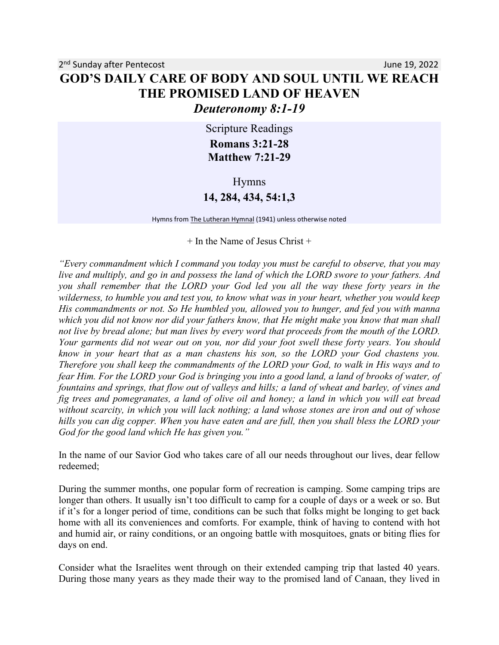Scripture Readings **Romans 3:21-28 Matthew 7:21-29**

Hymns

## **14, 284, 434, 54:1,3**

Hymns from The Lutheran Hymnal (1941) unless otherwise noted

 $+$  In the Name of Jesus Christ  $+$ 

*"Every commandment which I command you today you must be careful to observe, that you may live and multiply, and go in and possess the land of which the LORD swore to your fathers. And you shall remember that the LORD your God led you all the way these forty years in the wilderness, to humble you and test you, to know what was in your heart, whether you would keep His commandments or not. So He humbled you, allowed you to hunger, and fed you with manna which you did not know nor did your fathers know, that He might make you know that man shall not live by bread alone; but man lives by every word that proceeds from the mouth of the LORD. Your garments did not wear out on you, nor did your foot swell these forty years. You should know in your heart that as a man chastens his son, so the LORD your God chastens you. Therefore you shall keep the commandments of the LORD your God, to walk in His ways and to fear Him. For the LORD your God is bringing you into a good land, a land of brooks of water, of fountains and springs, that flow out of valleys and hills; a land of wheat and barley, of vines and fig trees and pomegranates, a land of olive oil and honey; a land in which you will eat bread without scarcity, in which you will lack nothing; a land whose stones are iron and out of whose hills you can dig copper. When you have eaten and are full, then you shall bless the LORD your God for the good land which He has given you."* 

In the name of our Savior God who takes care of all our needs throughout our lives, dear fellow redeemed;

During the summer months, one popular form of recreation is camping. Some camping trips are longer than others. It usually isn't too difficult to camp for a couple of days or a week or so. But if it's for a longer period of time, conditions can be such that folks might be longing to get back home with all its conveniences and comforts. For example, think of having to contend with hot and humid air, or rainy conditions, or an ongoing battle with mosquitoes, gnats or biting flies for days on end.

Consider what the Israelites went through on their extended camping trip that lasted 40 years. During those many years as they made their way to the promised land of Canaan, they lived in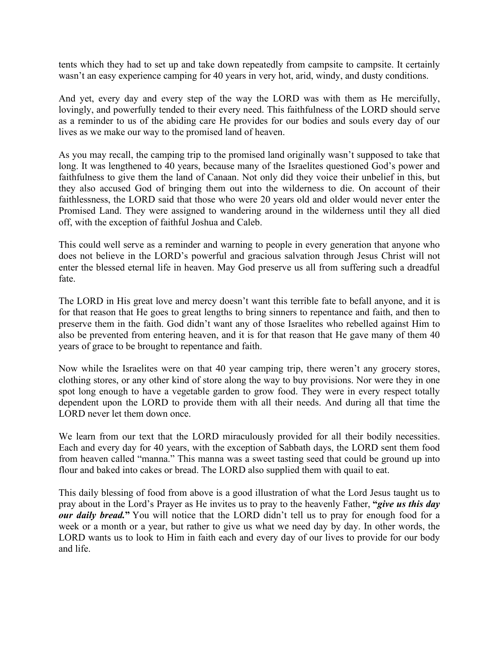tents which they had to set up and take down repeatedly from campsite to campsite. It certainly wasn't an easy experience camping for 40 years in very hot, arid, windy, and dusty conditions.

And yet, every day and every step of the way the LORD was with them as He mercifully, lovingly, and powerfully tended to their every need. This faithfulness of the LORD should serve as a reminder to us of the abiding care He provides for our bodies and souls every day of our lives as we make our way to the promised land of heaven.

As you may recall, the camping trip to the promised land originally wasn't supposed to take that long. It was lengthened to 40 years, because many of the Israelites questioned God's power and faithfulness to give them the land of Canaan. Not only did they voice their unbelief in this, but they also accused God of bringing them out into the wilderness to die. On account of their faithlessness, the LORD said that those who were 20 years old and older would never enter the Promised Land. They were assigned to wandering around in the wilderness until they all died off, with the exception of faithful Joshua and Caleb.

This could well serve as a reminder and warning to people in every generation that anyone who does not believe in the LORD's powerful and gracious salvation through Jesus Christ will not enter the blessed eternal life in heaven. May God preserve us all from suffering such a dreadful fate.

The LORD in His great love and mercy doesn't want this terrible fate to befall anyone, and it is for that reason that He goes to great lengths to bring sinners to repentance and faith, and then to preserve them in the faith. God didn't want any of those Israelites who rebelled against Him to also be prevented from entering heaven, and it is for that reason that He gave many of them 40 years of grace to be brought to repentance and faith.

Now while the Israelites were on that 40 year camping trip, there weren't any grocery stores, clothing stores, or any other kind of store along the way to buy provisions. Nor were they in one spot long enough to have a vegetable garden to grow food. They were in every respect totally dependent upon the LORD to provide them with all their needs. And during all that time the LORD never let them down once.

We learn from our text that the LORD miraculously provided for all their bodily necessities. Each and every day for 40 years, with the exception of Sabbath days, the LORD sent them food from heaven called "manna." This manna was a sweet tasting seed that could be ground up into flour and baked into cakes or bread. The LORD also supplied them with quail to eat.

This daily blessing of food from above is a good illustration of what the Lord Jesus taught us to pray about in the Lord's Prayer as He invites us to pray to the heavenly Father, **"***give us this day our daily bread.***"** You will notice that the LORD didn't tell us to pray for enough food for a week or a month or a year, but rather to give us what we need day by day. In other words, the LORD wants us to look to Him in faith each and every day of our lives to provide for our body and life.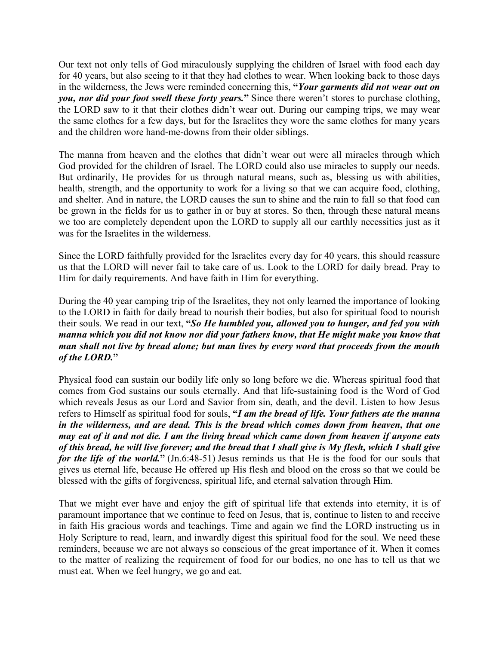Our text not only tells of God miraculously supplying the children of Israel with food each day for 40 years, but also seeing to it that they had clothes to wear. When looking back to those days in the wilderness, the Jews were reminded concerning this, **"***Your garments did not wear out on you, nor did your foot swell these forty years.***"** Since there weren't stores to purchase clothing, the LORD saw to it that their clothes didn't wear out. During our camping trips, we may wear the same clothes for a few days, but for the Israelites they wore the same clothes for many years and the children wore hand-me-downs from their older siblings.

The manna from heaven and the clothes that didn't wear out were all miracles through which God provided for the children of Israel. The LORD could also use miracles to supply our needs. But ordinarily, He provides for us through natural means, such as, blessing us with abilities, health, strength, and the opportunity to work for a living so that we can acquire food, clothing, and shelter. And in nature, the LORD causes the sun to shine and the rain to fall so that food can be grown in the fields for us to gather in or buy at stores. So then, through these natural means we too are completely dependent upon the LORD to supply all our earthly necessities just as it was for the Israelites in the wilderness.

Since the LORD faithfully provided for the Israelites every day for 40 years, this should reassure us that the LORD will never fail to take care of us. Look to the LORD for daily bread. Pray to Him for daily requirements. And have faith in Him for everything.

During the 40 year camping trip of the Israelites, they not only learned the importance of looking to the LORD in faith for daily bread to nourish their bodies, but also for spiritual food to nourish their souls. We read in our text, **"***So He humbled you, allowed you to hunger, and fed you with manna which you did not know nor did your fathers know, that He might make you know that man shall not live by bread alone; but man lives by every word that proceeds from the mouth of the LORD.***"**

Physical food can sustain our bodily life only so long before we die. Whereas spiritual food that comes from God sustains our souls eternally. And that life-sustaining food is the Word of God which reveals Jesus as our Lord and Savior from sin, death, and the devil. Listen to how Jesus refers to Himself as spiritual food for souls, **"***I am the bread of life. Your fathers ate the manna in the wilderness, and are dead. This is the bread which comes down from heaven, that one may eat of it and not die. I am the living bread which came down from heaven if anyone eats of this bread, he will live forever; and the bread that I shall give is My flesh, which I shall give for the life of the world.***"** (Jn.6:48-51) Jesus reminds us that He is the food for our souls that gives us eternal life, because He offered up His flesh and blood on the cross so that we could be blessed with the gifts of forgiveness, spiritual life, and eternal salvation through Him.

That we might ever have and enjoy the gift of spiritual life that extends into eternity, it is of paramount importance that we continue to feed on Jesus, that is, continue to listen to and receive in faith His gracious words and teachings. Time and again we find the LORD instructing us in Holy Scripture to read, learn, and inwardly digest this spiritual food for the soul. We need these reminders, because we are not always so conscious of the great importance of it. When it comes to the matter of realizing the requirement of food for our bodies, no one has to tell us that we must eat. When we feel hungry, we go and eat.